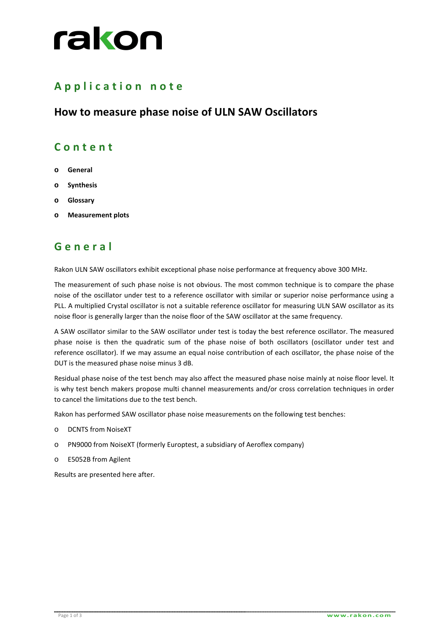# rakon

## **A p p l i c a t i o n n o t e**

#### **How to measure phase noise of ULN SAW Oscillators**

#### **C o n t e n t**

- **o General**
- **o Synthesis**
- **o Glossary**
- **o Measurement plots**

## **G e n e r a l**

Rakon ULN SAW oscillators exhibit exceptional phase noise performance at frequency above 300 MHz.

The measurement of such phase noise is not obvious. The most common technique is to compare the phase noise of the oscillator under test to a reference oscillator with similar or superior noise performance using a PLL. A multiplied Crystal oscillator is not a suitable reference oscillator for measuring ULN SAW oscillator as its noise floor is generally larger than the noise floor of the SAW oscillator at the same frequency.

A SAW oscillator similar to the SAW oscillator under test is today the best reference oscillator. The measured phase noise is then the quadratic sum of the phase noise of both oscillators (oscillator under test and reference oscillator). If we may assume an equal noise contribution of each oscillator, the phase noise of the DUT is the measured phase noise minus 3 dB.

Residual phase noise of the test bench may also affect the measured phase noise mainly at noise floor level. It is why test bench makers propose multi channel measurements and/or cross correlation techniques in order to cancel the limitations due to the test bench.

Rakon has performed SAW oscillator phase noise measurements on the following test benches:

- o DCNTS from NoiseXT
- o PN9000 from NoiseXT (formerly Europtest, a subsidiary of Aeroflex company)
- o E5052B from Agilent

Results are presented here after.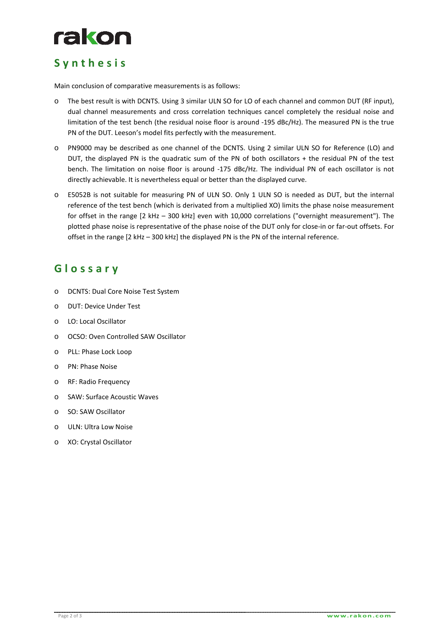

### **S y n t h e s i s**

Main conclusion of comparative measurements is as follows:

- o The best result is with DCNTS. Using 3 similar ULN SO for LO of each channel and common DUT (RF input), dual channel measurements and cross correlation techniques cancel completely the residual noise and limitation of the test bench (the residual noise floor is around -195 dBc/Hz). The measured PN is the true PN of the DUT. Leeson's model fits perfectly with the measurement.
- o PN9000 may be described as one channel of the DCNTS. Using 2 similar ULN SO for Reference (LO) and DUT, the displayed PN is the quadratic sum of the PN of both oscillators + the residual PN of the test bench. The limitation on noise floor is around -175 dBc/Hz. The individual PN of each oscillator is not directly achievable. It is nevertheless equal or better than the displayed curve.
- o E5052B is not suitable for measuring PN of ULN SO. Only 1 ULN SO is needed as DUT, but the internal reference of the test bench (which is derivated from a multiplied XO) limits the phase noise measurement for offset in the range [2 kHz – 300 kHz] even with 10,000 correlations ("overnight measurement"). The plotted phase noise is representative of the phase noise of the DUT only for close-in or far-out offsets. For offset in the range [2 kHz – 300 kHz] the displayed PN is the PN of the internal reference.

#### **G l o s s a r y**

- o DCNTS: Dual Core Noise Test System
- o DUT: Device Under Test
- o LO: Local Oscillator
- o OCSO: Oven Controlled SAW Oscillator
- o PLL: Phase Lock Loop
- o PN: Phase Noise
- o RF: Radio Frequency
- o SAW: Surface Acoustic Waves
- o SO: SAW Oscillator
- o ULN: Ultra Low Noise
- o XO: Crystal Oscillator